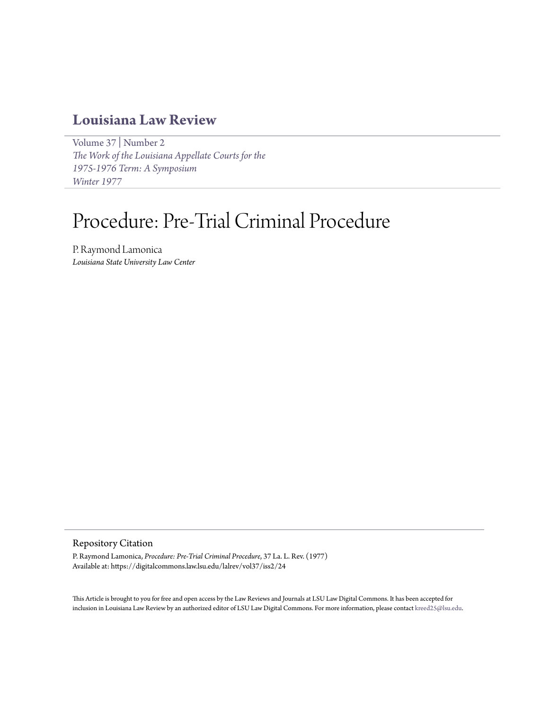# **[Louisiana Law Review](https://digitalcommons.law.lsu.edu/lalrev)**

[Volume 37](https://digitalcommons.law.lsu.edu/lalrev/vol37) | [Number 2](https://digitalcommons.law.lsu.edu/lalrev/vol37/iss2) *[The Work of the Louisiana Appellate Courts for the](https://digitalcommons.law.lsu.edu/lalrev/vol37/iss2) [1975-1976 Term: A Symposium](https://digitalcommons.law.lsu.edu/lalrev/vol37/iss2) [Winter 1977](https://digitalcommons.law.lsu.edu/lalrev/vol37/iss2)*

# Procedure: Pre-Trial Criminal Procedure

P. Raymond Lamonica *Louisiana State University Law Center*

# Repository Citation

P. Raymond Lamonica, *Procedure: Pre-Trial Criminal Procedure*, 37 La. L. Rev. (1977) Available at: https://digitalcommons.law.lsu.edu/lalrev/vol37/iss2/24

This Article is brought to you for free and open access by the Law Reviews and Journals at LSU Law Digital Commons. It has been accepted for inclusion in Louisiana Law Review by an authorized editor of LSU Law Digital Commons. For more information, please contact [kreed25@lsu.edu](mailto:kreed25@lsu.edu).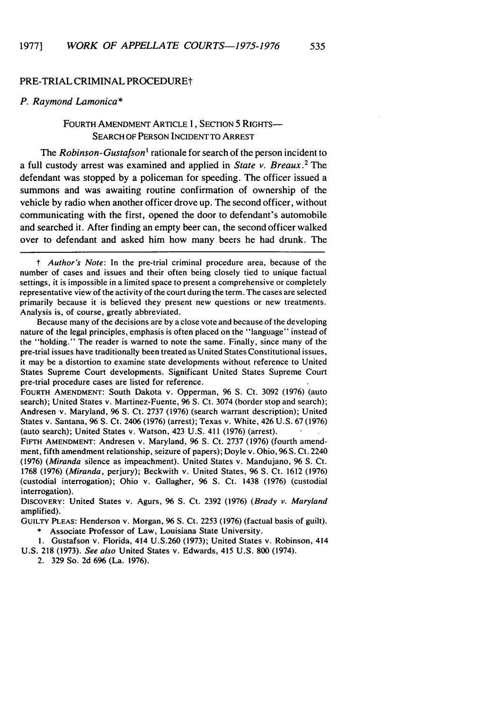#### PRE-TRIAL CRIMINAL PROCEDUREt

#### P. Raymond Lamonica **\***

# FOURTH AMENDMENT ARTICLE **1,** SECTION **5** RIGHTS-SEARCH OF PERSON INCIDENT TO ARREST

The *Robinson- Gustafson<sup>I</sup>*rationale for search of the person incident to a full custody arrest was examined and applied in *State v. Breaux.2* The defendant was stopped by a policeman for speeding. The officer issued a summons and was awaiting routine confirmation of ownership of the vehicle by radio when another officer drove up. The second officer, without communicating with the first, opened the door to defendant's automobile and searched it. After finding an empty beer can, the second officer walked over to defendant and asked him how many beers he had drunk. The

*t* Author's Note: In the pre-trial criminal procedure area, because of the number of cases and issues and their often being closely tied to unique factual settings, it is impossible in a limited space to present a comprehensive or completely representative view of the activity of the court during the term. The cases are selected primarily because it is believed they present new questions or new treatments. Analysis is, of course, greatly abbreviated.

Because many of the decisions are by a close vote and because of the developing nature of the legal principles, emphasis is often placed on the "language" instead of the "holding." The reader is warned to note the same. Finally, since many of the pre-trial issues have traditionally been treated as United States Constitutional issues, it may be a distortion to examine state developments without reference to United States Supreme Court developments. Significant United States Supreme Court pre-trial procedure cases are listed for reference.

FOURTH **AMENDMENT:** South Dakota v. Opperman, 96 **S.** Ct. 3092 (1976) (auto search); United States v. Martinez-Fuente, 96 **S.** Ct. 3074 (border stop and search); Andresen v. Maryland, 96 **S.** Ct. 2737 (1976) (search warrant description); United States v. Santana, 96 S. Ct. 2406 (1976) (arrest); Texas v. White, 426 U.S. 67 (1976) (auto search); United States v. Watson, 423 U.S. 411 (1976) (arrest).

**FIFrH AMENDMENT:** Andresen v. Maryland, 96 **S.** Ct. 2737 (1976) (fourth amendment, fifth amendment relationship, seizure of papers); Doyle v. Ohio, **96** S. Ct. 2240 (1976) *(Miranda* silence as impeachment). United States v. Mandujano, 96 **S.** Ct. 1768 (1976) *(Miranda,* perjury); Beckwith v. United States, 96 S. Ct. 1612 (1976) (custodial interrogation); Ohio v. Gallagher, 96 **S.** Ct. 1438 (1976) (custodial interrogation).

DISCOVERY: United States v. Agurs, 96 **S.** Ct. 2392 (1976) (Brady *v.* Maryland amplified).

GUILTY PLEAS: Henderson v. Morgan, 96 S. Ct. 2253 (1976) (factual basis of guilt). \* Associate Professor of Law, Louisiana State University.

**1.** Gustafson v. Florida, 414 U.S.260 (1973); United States v. Robinson, 414 U.S. 218 (1973). *See also* United States v. Edwards, 415 U.S. 800 (1974).

2. 329 So. 2d 696 (La. 1976).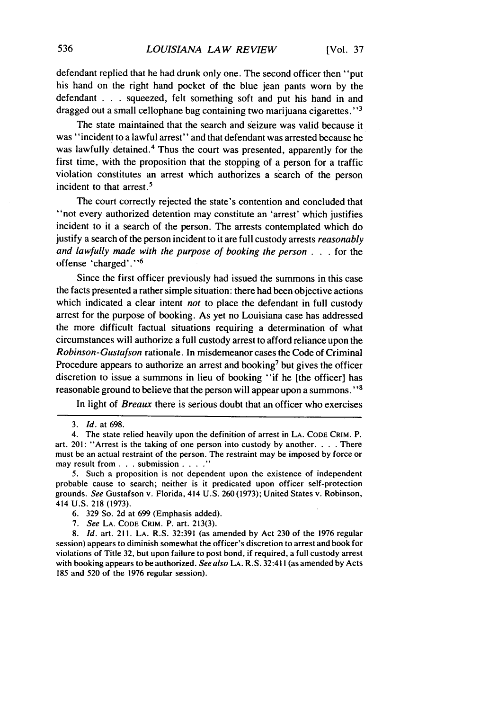defendant replied that he had drunk only one. The second officer then "put his hand on the right hand pocket of the blue jean pants worn by the defendant . . . squeezed, felt something soft and put his hand in and dragged out a small cellophane bag containing two marijuana cigarettes."<sup>3</sup>

The state maintained that the search and seizure was valid because it was "incident to a lawful arrest" and that defendant was arrested because he was lawfully detained.4 Thus the court was presented, apparently for the first time, with the proposition that the stopping of a person for a traffic violation constitutes an arrest which authorizes a search of the person incident to that arrest.<sup>5</sup>

The court correctly rejected the state's contention and concluded that "not every authorized detention may constitute an 'arrest' which justifies incident to it a search of the person. The arrests contemplated which do justify a search of the person incident to it are full custody arrests *reasonably* and lawfully made with the purpose of booking the person . . . for the offense 'charged'."6

Since the first officer previously had issued the summons in this case the facts presented a rather simple situation: there had been objective actions which indicated a clear intent not to place the defendant in full custody arrest for the purpose of booking. As yet no Louisiana case has addressed the more difficult factual situations requiring a determination of what circumstances will authorize a full custody arrest to afford reliance upon the Robinson-Gustafson rationale. In misdemeanor cases the Code of Criminal Procedure appears to authorize an arrest and booking<sup>7</sup> but gives the officer discretion to issue a summons in lieu of booking "if he [the officer] has reasonable ground to believe that the person will appear upon a summons. **"8**

In light of *Breaux* there is serious doubt that an officer who exercises

<sup>3.</sup> *Id.* at 698.

<sup>4.</sup> The state relied heavily upon the definition of arrest in LA. CODE CRIM. P. art. 201: "Arrest is the taking of one person into custody by another **....** There must be an actual restraint of the person. The restraint may be imposed by force or may result from **. . .** submission **.... "**

<sup>5.</sup> Such a proposition is not dependent upon the existence of independent probable cause to search; neither is it predicated upon officer self-protection grounds. *See* Gustafson v. Florida, 414 U.S. 260 (1973); United States v. Robinson, 414 U.S. 218 (1973).

<sup>6. 329</sup> So. 2d at 699 (Emphasis added).

**<sup>7.</sup>** See LA. CODE CRIM. P. art. 213(3).

<sup>8.</sup> *Id.* art. 211. LA. R.S. 32:391 (as amended by Act 230 of the 1976 regular session) appears to diminish somewhat the officer's discretion to arrest and book for violations of Title 32, but upon failure to post bond, if required, a full custody arrest with booking appears to be authorized. See also LA. R.S. 32:411 (as amended by Acts 185 and 520 of the 1976 regular session).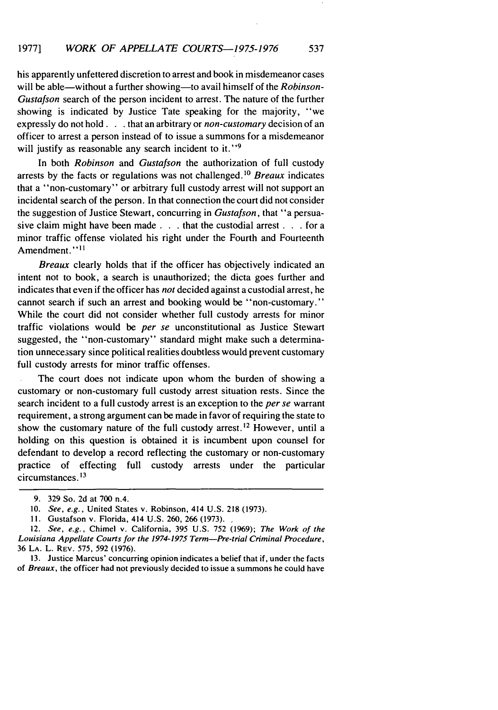# his apparently unfettered discretion to arrest and book in misdemeanor cases will be able—without a further showing—to avail himself of the Robinson-Gustafson search of the person incident to arrest. The nature of the further showing is indicated by Justice Tate speaking for the majority, "we expressly do not hold. **. .** that an arbitrary or non-customary decision of an officer to arrest a person instead of to issue a summons for a misdemeanor will justify as reasonable any search incident to it.  $\cdot$ <sup>9</sup>

In both Robinson and Gustafson the authorization of full custody arrests by the facts or regulations was not challenged.<sup>10</sup> Breaux indicates that a "non-customary" or arbitrary full custody arrest will not support an incidental search of the person. In that connection the court did not consider the suggestion of Justice Stewart, concurring in Gustafson, that "a persuasive claim might have been made **. . .** that the custodial arrest **. . .** for a minor traffic offense violated his right under the Fourth and Fourteenth Amendment."<sup>11</sup>

Breaux clearly holds that if the officer has objectively indicated an intent not to book, a search is unauthorized; the dicta goes further and indicates that even if the officer has not decided against a custodial arrest, he cannot search if such an arrest and booking would be "non-customary." While the court did not consider whether full custody arrests for minor traffic violations would be per se unconstitutional as Justice Stewart suggested, the "non-customary" standard might make such a determination unnecessary since political realities doubtless would prevent customary full custody arrests for minor traffic offenses.

The court does not indicate upon whom the burden of showing a customary or non-customary full custody arrest situation rests. Since the search incident to a full custody arrest is an exception to the per se warrant requirement, a strong argument can be made in favor of requiring the state to show the customary nature of the full custody arrest.<sup>12</sup> However, until a holding on this question is obtained it is incumbent upon counsel for defendant to develop a record reflecting the customary or non-customary practice of effecting full custody arrests under the particular circumstances. **I'**

13. Justice Marcus' concurring opinion indicates a belief that if, under the facts of Breaux, the officer had not previously decided to issue a summons he could have

<sup>9. 329</sup> So. 2d at 700 n.4.

<sup>10.</sup> *See, e.g.,* United States v. Robinson, 414 U.S. 218 (1973).

<sup>11.</sup> Gustafson v. Florida, 414 U.S. 260, 266 (1973).

<sup>12.</sup> See, e.g., Chimel v. California, 395 U.S. 752 (1969); *The Work of the* Louisiana Appellate Courts for the **1974-1975** Term-Pre-trial Criminal Procedure, 36 LA. L. REV. 575, 592 (1976).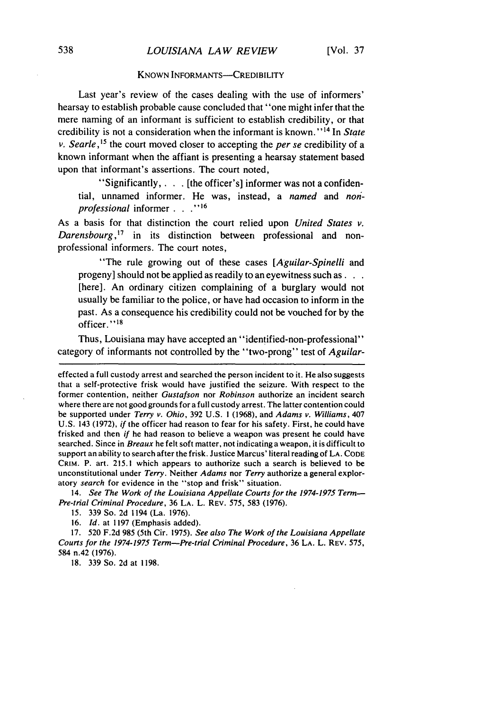#### **KNOWN INFORMANTS-CREDIBILITY**

Last year's review of the cases dealing with the use of informers' hearsay to establish probable cause concluded that "one might infer that the mere naming of an informant is sufficient to establish credibility, or that credibility is not a consideration when the informant is known." 14 In *State* v. Searle,<sup>15</sup> the court moved closer to accepting the *per se* credibility of a known informant when the affiant is presenting a hearsay statement based upon that informant's assertions. The court noted,

"Significantly, **. . .** [the officer's] informer was not a confidential, unnamed informer. He was, instead, a *named* and *non' professional* informer **. . .,,16**

As a basis for that distinction the court relied upon *United States v. Darensbourg,'7* in its distinction between professional and nonprofessional informers. The court notes,

"The rule growing out of these cases *[Aguilar-Spinelli* and progeny] should not be applied as readily to an eyewitness such **as...** [here]. An ordinary citizen complaining of a burglary would not usually be familiar to the police, or have had occasion to inform in the past. As a consequence his credibility could not be vouched for by the officer."<sup>18</sup>

Thus, Louisiana may have accepted an "identified-non-professional" category of informants not controlled by the "two-prong" test of *Aguilar-*

14. *See The Work of the Louisiana Appellate Courts for the 1974-1975 Term-Pre-trial Criminal Procedure,* 36 LA. L. REV. 575, 583 (1976).

18. 339 So. 2d at 1198.

effected a full custody arrest and searched the person incident to it. He also suggests that a self-protective frisk would have justified the seizure. With respect to the former contention, neither *Gustafson* nor *Robinson* authorize an incident search where there are not good grounds for a full custody arrest. The latter contention could be supported under *Terry v. Ohio,* 392 U.S. **1** (1968), and *Adams v. Williams,* 407 U.S. 143 (1972), *if* the officer had reason to fear for his safety. First, he could have frisked and then *if* he had reason to believe a weapon was present he could have searched. Since in *Breaux* he felt soft matter, not indicating a weapon, it is difficult to support an ability to search after the frisk. Justice Marcus' literal reading of LA. CODE CRIM. P. art. 215.1 which appears to authorize such a search is believed to be unconstitutional under *Terry.* Neither *Adams* nor *Terry* authorize a general exploratory *search* for evidence in the "stop and frisk" situation.

<sup>15. 339</sup> So. 2d 1194 (La. 1976).

<sup>16.</sup> *Id.* at 1197 (Emphasis added).

<sup>17. 520</sup> F.2d 985 (5th Cir. 1975). *See also The Work of the Louisiana Appellate Courts for the 1974-1975 Term-Pre-trial Criminal Procedure,* 36 LA. L. REV. 575, 584 n.42 (1976).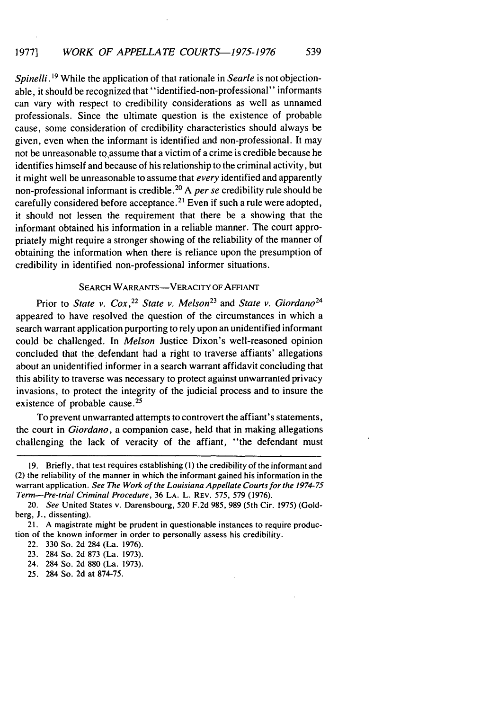*Spinelli.* **1 <sup>9</sup>**While the application of that rationale in *Searle* is not objectionable, it should be recognized that "identified-non-professional" informants can vary with respect to credibility considerations as well as unnamed professionals. Since the ultimate question is the existence of probable cause, some consideration of credibility characteristics should always be given, even when the informant is identified and non-professional. It may not be unreasonable to assume that a victim of a crime is credible because he identifies himself and because of his relationship to the criminal activity, but it might well be unreasonable to assume that *every* identified and apparently non-professional informant is credible.<sup>2</sup> " A *per se* credibility rule should be carefully considered before acceptance.<sup>21</sup> Even if such a rule were adopted, it should not lessen the requirement that there be a showing that the informant obtained his information in a reliable manner. The court appropriately might require a stronger showing of the reliability of the manner of obtaining the information when there is reliance upon the presumption of credibility in identified non-professional informer situations.

#### SEARCH WARRANTS-VERACITY OF AFFIANT

Prior to *State v. Cox*,<sup>22</sup> State v. Melson<sup>23</sup> and *State v. Giordano*<sup>24</sup> appeared to have resolved the question of the circumstances in which a search warrant application purporting to rely upon an unidentified informant could be challenged. In *Melson* Justice Dixon's well-reasoned opinion concluded that the defendant had a right to traverse affiants' allegations about an unidentified informer in a search warrant affidavit concluding that this ability to traverse was necessary to protect against unwarranted privacy invasions, to protect the integrity of the judicial process and to insure the existence of probable cause.<sup>25</sup>

To prevent unwarranted attempts to controvert the affiant's statements, the court in Giordano, a companion case, held that in making allegations challenging the lack of veracity of the affiant, "the defendant must

25. 284 So. 2d at 874-75.

<sup>19.</sup> Briefly, that test requires establishing (i) the credibility of **the** informant and (2) the reliability of the manner in which the informant gained his information in the warrant application. See The Work *of the* Louisiana Appellate *Courts* for the *1974-75 Term-Pre-trial Criminal* Procedure, **36 LA.** L. REV. 575, **579 (1976).**

<sup>20.</sup> *See* United States v. Darensbourg, 520 F.2d 985, **989** (5th Cir. 1975) (Goldberg, **J.,** dissenting).

<sup>21.</sup> A magistrate might be prudent in questionable instances to require production of the known informer in order to personally assess his credibility.

<sup>22. 330</sup> So. 2d 284 (La. **1976).**

**<sup>23.</sup>** 284 So. 2d **873** (La. 1973).

<sup>24. 284</sup> So. 2d 880 (La. 1973).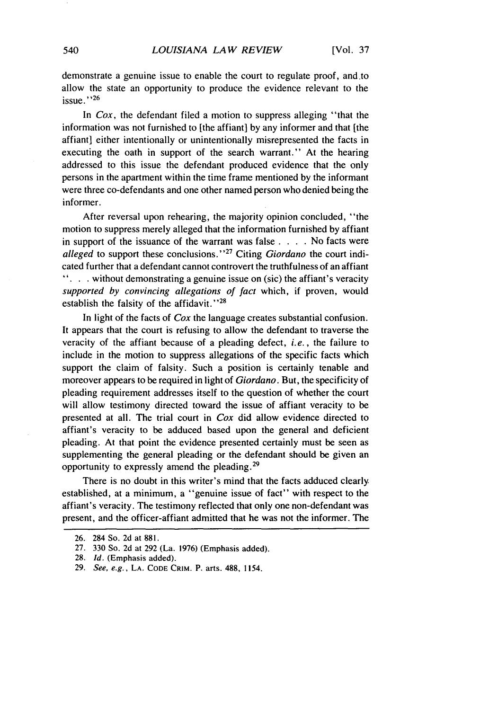demonstrate a genuine issue to enable the court to regulate proof, and.to allow the state an opportunity to produce the evidence relevant to the issue. **'26**

In *Cox,* the defendant filed a motion to suppress alleging "that the information was not furnished to [the affiant] by any informer and that [the affiant] either intentionally or unintentionally misrepresented the facts in executing the oath in support of the search warrant." At the hearing addressed to this issue the defendant produced evidence that the only persons in the apartment within the time frame mentioned by the informant were three co-defendants and one other named person who denied being the informer.

After reversal upon rehearing, the majority opinion concluded, "the motion to suppress merely alleged that the information furnished by affiant in support of the issuance of the warrant was false . **. .** . No facts were *alleged* to support these conclusions."<sup>27</sup> Citing *Giordano* the court indicated further that a defendant cannot controvert the truthfulness of an affiant **...** without demonstrating a genuine issue on (sic) the affiant's veracity supported by *convincing allegations of fact* which, if proven, would establish the falsity of the affidavit."<sup>28</sup>

In light of the facts of *Cox* the language creates substantial confusion. It appears that the court is refusing to allow the defendant to traverse the veracity of the affiant because of a pleading defect, *i.e.,* the failure to include in the motion to suppress allegations of the specific facts which support the claim of falsity. Such a position is certainly tenable and moreover appears to be required in light of *Giordano.* But, the specificity of pleading requirement addresses itself to the question of whether the court will allow testimony directed toward the issue of affiant veracity to be presented at all. The trial court in *Cox* did allow evidence directed to affiant's veracity to be adduced based upon the general and deficient pleading. At that point the evidence presented certainly must be seen as supplementing the general pleading or the defendant should be given an opportunity to expressly amend the pleading. <sup>29</sup>

There is no doubt in this writer's mind that the facts adduced clearly established, at a minimum, a "genuine issue of fact" with respect to the affiant's veracity. The testimony reflected that only one non-defendant was present, and the officer-affiant admitted that he was not the informer. The

<sup>26. 284</sup> So. 2d at 881.

<sup>27. 330</sup> So. 2d at 292 (La. 1976) (Emphasis added).

<sup>28.</sup> *Id.* (Emphasis added).

<sup>29.</sup> *See, e.g.,* **LA.** CODE CRIM. P. arts. **488,** 1154.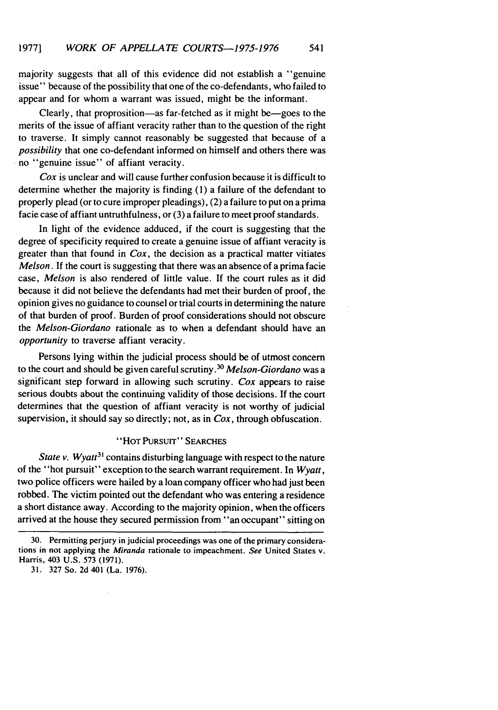majority suggests that all of this evidence did not establish a "genuine issue" because of the possibility that one of the co-defendants, who failed to appear and for whom a warrant was issued, might be the informant.

Clearly, that proprosition—as far-fetched as it might be—goes to the merits of the issue of affiant veracity rather than to the question of the right to traverse. It simply cannot reasonably be suggested that because of a *possibility* that one co-defendant informed on himself and others there was no "genuine issue" of affiant veracity.

*Cox* is unclear and will cause further confusion because it is difficult to determine whether the majority is finding (1) a failure of the defendant to properly plead (or to cure improper pleadings), (2) a failure to put on a prima facie case of affiant untruthfulness, or (3) a failure to meet proof standards.

In light of the evidence adduced, if the court is suggesting that the degree of specificity required to create a genuine issue of affiant veracity is greater than that found in *Cox,* the decision as a practical matter vitiates *Melson.* If the court is suggesting that there was an absence of a prima facie case, *Melson* is also rendered of little value. If the court rules as it did because it did not believe the defendants had met their burden of proof, the opinion gives no guidance to counsel or trial courts in determining the nature of that burden of proof. Burden of proof considerations should not obscure the *Melson-Giordano* rationale as to when a defendant should have an *opportunity* to traverse affiant veracity.

Persons lying within the judicial process should be of utmost concern to the court and should be given careful scrutiny. <sup>30</sup>*Melson-Giordano* was a significant step forward in allowing such scrutiny. *Cox* appears to raise serious doubts about the continuing validity of those decisions. If the court determines that the question of affiant veracity is not worthy of judicial supervision, it should say so directly; not, as in *Cox,* through obfuscation.

#### "HOT **PURSUIT" SEARCHES**

*State v. Wyatt*<sup>31</sup> contains disturbing language with respect to the nature of the "hot pursuit" exception to the search warrant requirement. In *Wyatt,* two police officers were hailed by a loan company officer who had just been robbed. The victim pointed out the defendant who was entering a residence a short distance away. According to the majority opinion, when the officers arrived at the house they secured permission from "an occupant" sitting on

<sup>30.</sup> Permitting perjury in judicial proceedings was one of the primary considerations in not applying the Miranda rationale to impeachment. See United States v. Harris, 403 U.S. 573 (1971).

<sup>31. 327</sup> So. 2d 401 (La. 1976).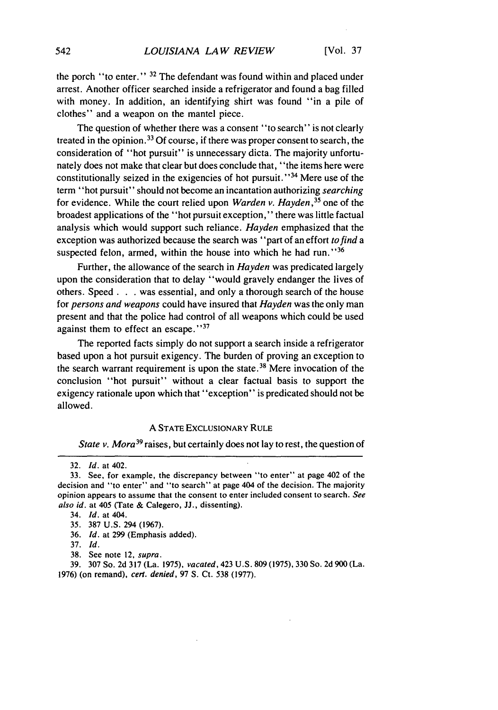the porch "to enter." **31** The defendant was found within and placed under arrest. Another officer searched inside a refrigerator and found a bag filled with money. In addition, an identifying shirt was found "in a pile of clothes" and a weapon on the mantel piece.

The question of whether there was a consent "to search" is not clearly treated in the opinion. 33 Of course, if there was proper consent to search, the consideration of "hot pursuit" is unnecessary dicta. The majority unfortunately does not make that clear but does conclude that, "the items here were constitutionally seized in the exigencies of hot pursuit."<sup>34</sup> Mere use of the term "hot pursuit" should not become an incantation authorizing searching for evidence. While the court relied upon *Warden v. Hayden, <sup>35</sup>*one of the broadest applications of the "hot pursuit exception," there was little factual analysis which would support such reliance. *Hayden* emphasized that the exception was authorized because the search was "part of an effort *to find a* suspected felon, armed, within the house into which he had run."36

Further, the allowance of the search in *Hayden* was predicated largely upon the consideration that to delay "would gravely endanger the lives of others. Speed. **.** . was essential, and only a thorough search of the house for *persons and weapons* could have insured that *Hayden* was the only man present and that the police had control of all weapons which could be used against them to effect an escape."37

The reported facts simply do not support a search inside a refrigerator based upon a hot pursuit exigency. The burden of proving an exception to the search warrant requirement is upon the state **. <sup>38</sup>**Mere invocation of the conclusion "hot pursuit" without a clear factual basis to support the exigency rationale upon which that "exception" is predicated should not be allowed.

#### **A** STATE EXCLUSIONARY RULE

*State v. Mora39* raises, but certainly does not lay to rest, the question of

37. *Id.*

39. 307 So. 2d 317 (La. 1975), vacated, 423 U.S. 809 (1975), 330 So. 2d 900 (La. 1976) (on remand), *cert. denied,* 97 **S.** Ct. 538 (1977).

<sup>32.</sup> *Id.* at 402.

<sup>33.</sup> See, for example, the discrepancy between "to enter" at page 402 of the decision and "to enter" and "to search" at page 404 of the decision. The majority opinion appears to assume that the consent to enter included consent to search. *See also id.* at 405 (Tate & Calegero, JJ., dissenting).

<sup>34.</sup> *Id.* at 404.

<sup>35.</sup> 387 U.S. 294 (1967).

<sup>36.</sup> *Id.* at 299 (Emphasis added).

<sup>38.</sup> See note 12, supra.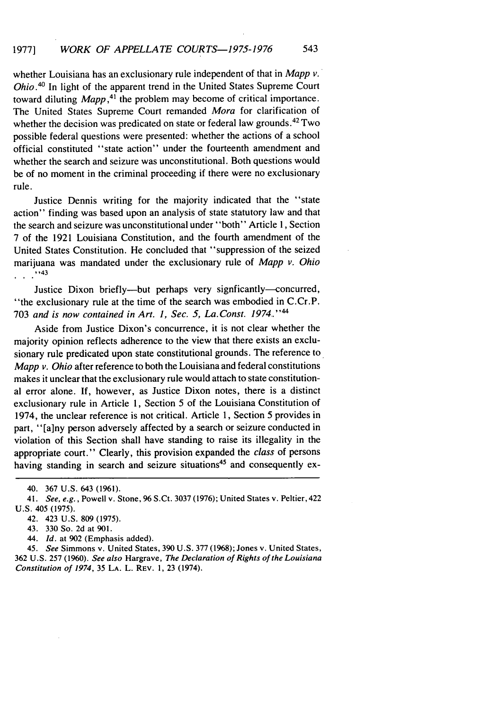whether Louisiana has an exclusionary rule independent of that in *Mapp v. Ohio*.<sup>40</sup> In light of the apparent trend in the United States Supreme Court toward diluting *Mapp*,<sup>41</sup>, the problem may become of critical importance. The United States Supreme Court remanded *Mora* for clarification of whether the decision was predicated on state or federal law grounds.<sup>42</sup> Two possible federal questions were presented: whether the actions of a school official constituted "state action" under the fourteenth amendment and whether the search and seizure was unconstitutional. Both questions would be of no moment in the criminal proceeding if there were no exclusionary rule.

Justice Dennis writing for the majority indicated that the "state action" finding was based upon an analysis of state statutory law and that the search and seizure was unconstitutional under "both" Article 1, Section 7 of the 1921 Louisiana Constitution, and the fourth amendment of the United States Constitution. He concluded that "suppression of the seized marijuana was mandated under the exclusionary rule of *Mapp v. Ohio* ''43

Justice Dixon briefly--but perhaps very signficantly-concurred, "the exclusionary rule at the time of the search was embodied in C.Cr.P. 703 *and is now contained in Art. 1, Sec. 5, La.Const. 1974,." <sup>44</sup>*

Aside from Justice Dixon's concurrence, it is not clear whether the majority opinion reflects adherence to the view that there exists an exclusionary rule predicated upon state constitutional grounds. The reference to *Mapp v. Ohio* after reference to both the Louisiana and federal constitutions makes it unclear that the exclusionary rule would attach to state constitutional error alone. If, however, as Justice Dixon notes, there is a distinct exclusionary rule in Article 1, Section 5 of the Louisiana Constitution of 1974, the unclear reference is not critical. Article 1, Section 5 provides in part, "[a] ny person adversely affected by a search or seizure conducted in violation of this Section shall have standing to raise its illegality in the appropriate court." Clearly, this provision expanded the *class* of persons having standing in search and seizure situations<sup>45</sup> and consequently ex-

44. Id. at 902 (Emphasis added).

45. See Simmons v. United States, 390 U.S. 377 (1968); Jones v. United States, 362 U.S. 257 (1960). See also Hargrave, *The* Declaration of Rights of the Louisiana Constitution of 1974, 35 LA. L. REV. 1, 23 (1974).

<sup>40. 367</sup> U.S. 643 (1961).

<sup>41.</sup> See, e.g., Powell v. Stone, 96 S.Ct. 3037 (1976); United States v. Peltier, 422 U.S. 405 (1975).

<sup>42. 423</sup> U.S. 809 (1975).

<sup>43. 330</sup> So. 2d at 901.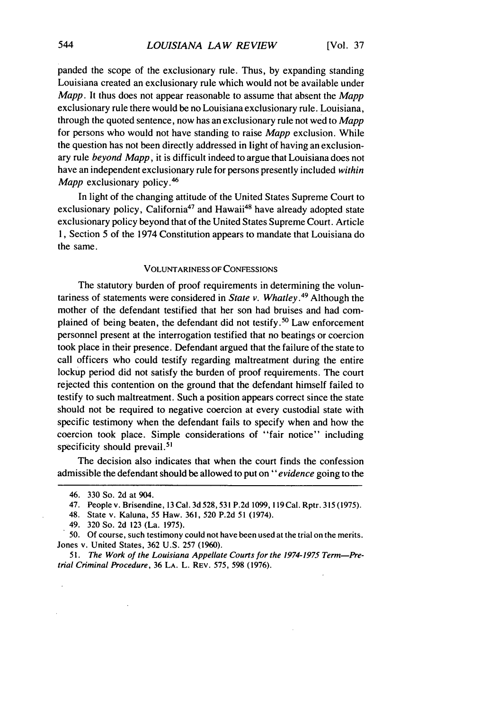panded the scope of the exclusionary rule. Thus, by expanding standing Louisiana created an exclusionary rule which would not be available under *Mapp.* It thus does not appear reasonable to assume that absent the *Mapp* exclusionary rule there would be no Louisiana exclusionary rule. Louisiana, through the quoted sentence, now has an exclusionary rule not wed to *Mapp* for persons who would not have standing to raise *Mapp* exclusion. While the question has not been directly addressed in light of having an exclusionary rule *beyond Mapp,* it is difficult indeed to argue that Louisiana does not have an independent exclusionary rule for persons presently included *within Mapp* exclusionary policy.<sup>46</sup>

In light of the changing attitude of the United States Supreme Court to exclusionary policy, California<sup>47</sup> and Hawaii<sup>48</sup> have already adopted state exclusionary policy beyond that of the United States Supreme Court. Article 1, Section 5 of the 1974 Constitution appears to mandate that Louisiana do the same.

#### VOLUNTARINESS OF CONFESSIONS

The statutory burden of proof requirements in determining the voluntariness of statements were considered in *State v. Whatley. <sup>49</sup>*Although the mother of the defendant testified that her son had bruises and had complained of being beaten, the defendant did not testify.<sup>50</sup> Law enforcement personnel present at the interrogation testified that no beatings or coercion took place in their presence. Defendant argued that the failure of the state to call officers who could testify regarding maltreatment during the entire lockup period did not satisfy the burden of proof requirements. The court rejected this contention on the ground that the defendant himself failed to testify to such maltreatment. Such a position appears correct since the state should not be required to negative coercion at every custodial state with specific testimony when the defendant fails to specify when and how the coercion took place. Simple considerations of "fair notice" including specificity should prevail.<sup>51</sup>

The decision also indicates that when the court finds the confession admissible the defendant should be allowed to put **on"** *evidence* going to the

*51.* The Work of the *Louisiana Appellate Courts for the 1974-1975 Term-Pre*trial Criminal Procedure, 36 LA. L. REV. 575, 598 (1976).

<sup>46. 330</sup> So. 2d at 904.

<sup>47.</sup> People v. Brisendine, 13 Cal. 3d 528, 531 P.2d 1099, 119Cal. Rptr. 315 (1975).

<sup>48.</sup> State v. Kaluna, 55 Haw. 361, 520 P.2d 51 (1974).

<sup>49. 320</sup> So. 2d 123 (La. 1975).

**<sup>50.</sup>** Of course, such testimony could not have been used at the trial on the merits. Jones v. United States, 362 U.S. 257 (1960).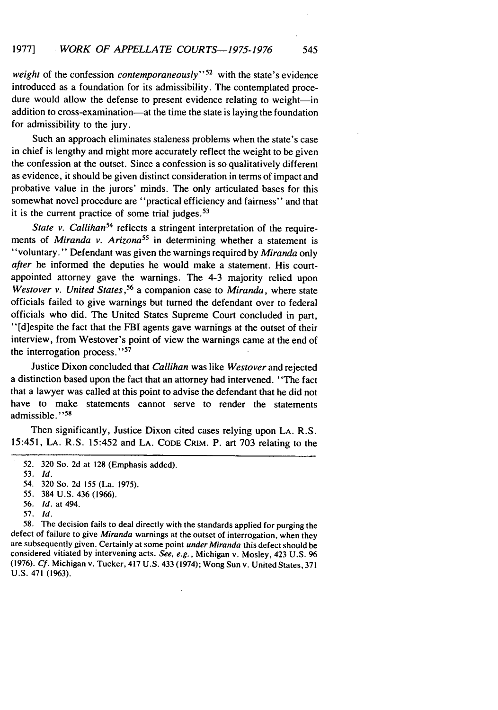*weight* of the confession *contemporaneously"52* with the state's evidence introduced as a foundation for its admissibility. The contemplated procedure would allow the defense to present evidence relating to weight-in addition to cross-examination—at the time the state is laying the foundation for admissibility to the jury.

Such an approach eliminates staleness problems when the state's case in chief is lengthy and might more accurately reflect the weight to be given the confession at the outset. Since a confession is so qualitatively different as evidence, it should be given distinct consideration in terms of impact and probative value in the jurors' minds. The only articulated bases for this somewhat novel procedure are "practical efficiency and fairness" and that it is the current practice of some trial judges.  $53$ 

*State v. Callihan*<sup>54</sup> reflects a stringent interpretation of the requirements of *Miranda v. Arizona*<sup>55</sup> in determining whether a statement is "voluntary." Defendant was given the warnings required by *Miranda* only *after* he informed the deputies he would make a statement. His courtappointed attorney gave the warnings. The 4-3 majority relied upon *Westover v. United States ,56* a companion case to *Miranda,* where state officials failed to give warnings but turned the defendant over to federal officials who did. The United States Supreme Court concluded in part, "[d]espite the fact that the FBI agents gave warnings at the outset of their interview, from Westover's point of view the warnings came at the end of the interrogation process."<sup>57</sup>

Justice Dixon concluded that *Callihan* was like *Westover* and rejected a distinction based upon the fact that an attorney had intervened. "The fact that a lawyer was called at this point to advise the defendant that he did not have to make statements cannot serve to render the statements admissible."<sup>58</sup>

Then significantly, Justice Dixon cited cases relying upon LA. R.S. 15:451, LA. R.S. 15:452 and LA. CODE CRIM. P. art 703 relating to the

57. *Id.*

58. The decision fails to deal directly with the standards applied for purging the defect of failure to give *Miranda* warnings at the outset of interrogation, when they are subsequently given. Certainly at some point *under Miranda* this defect should be considered vitiated **by** intervening acts. *See,* e.g., Michigan v. Mosley, 423 U.S. 96 (1976). *Cf.* Michigan v. Tucker, 417 U.S. 433 (1974); Wong Sun v. United States, 371 U.S. 471 (1963).

<sup>52.</sup> 320 So. 2d at 128 (Emphasis added).

<sup>53.</sup> *Id.*

*<sup>54.</sup>* 320 So. 2d 155 (La. 1975).

*<sup>55.</sup>* 384 U.S. 436 (1966).

<sup>56.</sup> *Id.* at 494.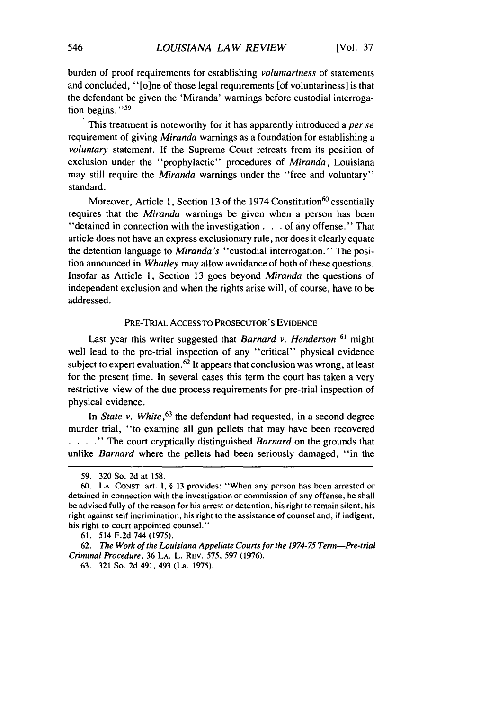burden of proof requirements for establishing *voluntariness* of statements and concluded, "[o]ne of those legal requirements [of voluntariness] is that the defendant be given the 'Miranda' warnings before custodial interrogation begins."<sup>59</sup>

This treatment is noteworthy for it has apparently introduced a *per se* requirement of giving Miranda warnings as a foundation for establishing a voluntary statement. If the Supreme Court retreats from its position of exclusion under the "prophylactic" procedures of *Miranda,* Louisiana may still require the *Miranda* warnings under the "free and voluntary" standard.

Moreover, Article 1, Section 13 of the 1974 Constitution<sup>60</sup> essentially requires that the Miranda warnings be given when a person has been "detained in connection with the investigation **...** of any offense." That article does not have an express exclusionary rule, nor does it clearly equate the detention language to Miranda's "custodial interrogation." The position announced in *Whatley* may allow avoidance of both of these questions. Insofar as Article 1, Section 13 goes beyond Miranda the questions of independent exclusion and when the rights arise will, of course, have to be addressed.

# PRE-TRIAL ACCESS TO PROSECUTOR'S **EVIDENCE**

Last year this writer suggested that Barnard v. Henderson **61** might well lead to the pre-trial inspection of any "critical" physical evidence subject to expert evaluation.<sup>62</sup> It appears that conclusion was wrong, at least for the present time. In several cases this term the court has taken a very restrictive view of the due process requirements for pre-trial inspection of physical evidence.

In State v. White,  $63$  the defendant had requested, in a second degree murder trial, "to examine all gun pellets that may have been recovered **. ...** " The court cryptically distinguished Barnard on the grounds that unlike Barnard where the pellets had been seriously damaged, "in the

<sup>59. 320</sup> So. 2d at 158.

<sup>60.</sup> **LA.** CONST. art. **I,** § **13 provides:** "When **any** person has **been** arrested or detained in connection with the investigation or commission of any offense, he shall be advised fully of the reason for his arrest or detention, his right to remain silent, his right against self incrimination, his right to the assistance of counsel and, if indigent, his right to court appointed counsel."

<sup>61. 514</sup> **F.2d** 744 (1975).

<sup>62.</sup> The Work of the Louisiana Appellate Courts for the **1974-75** Term-Pre-trial Criminal Procedure, 36 LA. L. REV. 575, 597 (1976).

<sup>63.</sup> **321** So. **2d** 491, 493 (La. 1975).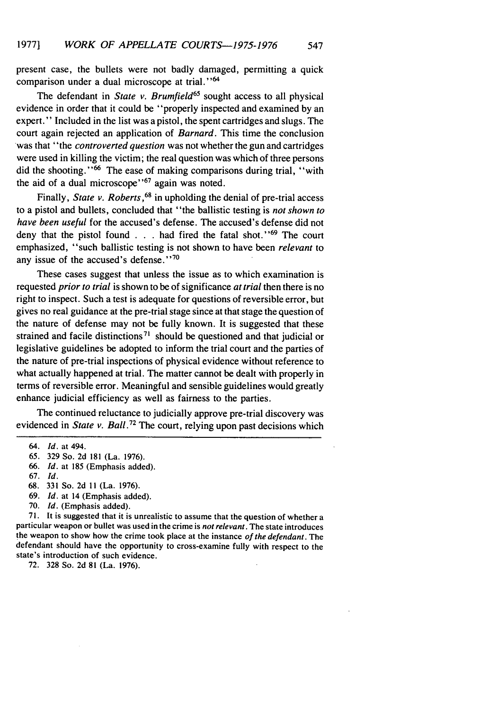present case, the bullets were not badly damaged, permitting a quick comparison under a dual microscope at trial."<sup>64</sup>

The defendant in *State v. Brumfield*<sup>65</sup> sought access to all physical evidence in order that it could be "properly inspected and examined by an expert." Included in the list was a pistol, the spent cartridges and slugs. The court again rejected an application of *Barnard.* This time the conclusion was that "the *controverted question* was not whether the gun and cartridges were used in killing the victim; the real question was which of three persons did the shooting."<sup>66</sup> The ease of making comparisons during trial, "with the aid of a dual microscope"<sup>67</sup> again was noted.

Finally, *State v. Roberts*, <sup>68</sup> in upholding the denial of pre-trial access to a pistol and bullets, concluded that "the ballistic testing is *not shown to have been useful* for the accused's defense. The accused's defense did not deny that the pistol found . . . had fired the fatal shot.''<sup>69</sup> The court emphasized, "such ballistic testing is not shown to have been *relevant* to any issue of the accused's defense." $70$ 

These cases suggest that unless the issue as to which examination is requested *prior to trial* is shown to be of significance *at trial* then there is no right to inspect. Such a test is adequate for questions of reversible error, but gives no real guidance at the pre-trial stage since at that stage the question of the nature of defense may not be fully known. It is suggested that these strained and facile distinctions<sup>71</sup> should be questioned and that judicial or legislative guidelines be adopted to inform the trial court and the parties of the nature of pre-trial inspections of physical evidence without reference to what actually happened at trial. The matter cannot be dealt with properly in terms of reversible error. Meaningful and sensible guidelines would greatly enhance judicial efficiency as well as fairness to the parties.

The continued reluctance to judicially approve pre-trial discovery was evidenced in *State v. Ball.72* The court, relying upon past decisions which

67. *Id.*

70. *Id.* (Emphasis added).

71. It is suggested that it is unrealistic to assume that the question of whether a particular weapon or bullet was used in the crime is not *relevant.* The state introduces the weapon to show how the crime took place at the instance *of the defendant.* The defendant should have the opportunity to cross-examine fully with respect to the state's introduction of such evidence.

72. 328 So. 2d 81 (La. 1976).

<sup>64.</sup> *Id.* at 494.

<sup>65. 329</sup> So. 2d 181 (La. 1976).

<sup>66.</sup> *Id.* at 185 (Emphasis added).

<sup>68. 331</sup> So. 2d **I** (La. 1976).

<sup>69.</sup> *Id.* at 14 (Emphasis added).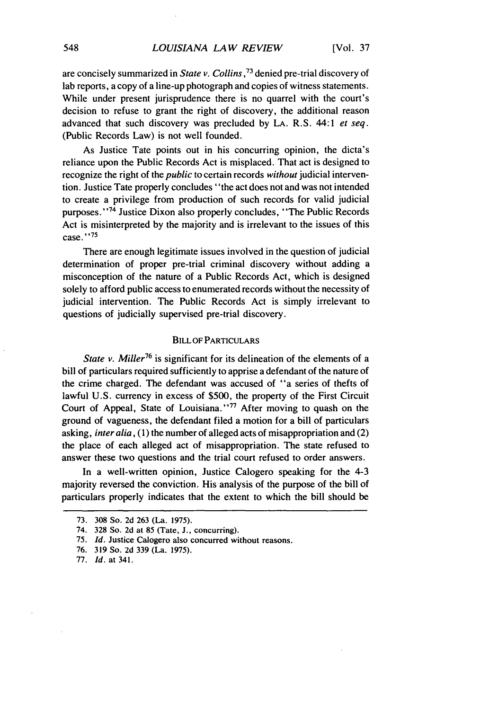are concisely summarized in *State v. Collins*,<sup>73</sup> denied pre-trial discovery of lab reports, a copy of a line-up photograph and copies of witness statements. While under present jurisprudence there is no quarrel with the court's decision to refuse to grant the right of discovery, the additional reason advanced that such discovery was precluded by LA. R.S. 44:1 *et seq.* (Public Records Law) is not well founded.

As Justice Tate points out in his concurring opinion, the dicta's reliance upon the Public Records Act is misplaced. That act is designed to recognize the right of the *public* to certain records *without* judicial intervention. Justice Tate properly concludes "the act does not and was not intended to create a privilege from production of such records for valid judicial purposes."<sup>74</sup> Justice Dixon also properly concludes, "The Public Records Act is misinterpreted by the majority and is irrelevant to the issues of this case." <sup>75</sup>

There are enough legitimate issues involved in the question of judicial determination of proper pre-trial criminal discovery without adding a misconception of the nature of a Public Records Act, which is designed solely to afford public access to enumerated records without the necessity of judicial intervention. The Public Records Act is simply irrelevant to questions of judicially supervised pre-trial discovery.

# BILL OF PARTICULARS

*State v. Miller*<sup>76</sup> is significant for its delineation of the elements of a bill of particulars required sufficiently to apprise a defendant of the nature of the crime charged. The defendant was accused of "a series of thefts of lawful U.S. currency in excess of \$500, the property of the First Circuit Court of Appeal, State of Louisiana."<sup>77</sup> After moving to quash on the ground of vagueness, the defendant filed a motion for a bill of particulars asking, *inter alia,* **(1)** the number of alleged acts of misappropriation and (2) the place of each alleged act of misappropriation. The state refused to answer these two questions and the trial court refused to order answers.

In a well-written opinion, Justice Calogero speaking for the 4-3 majority reversed the conviction. His analysis of the purpose of the bill of particulars properly indicates that the extent to which the bill should be

<sup>73. 308</sup> So. 2d 263 (La. 1975).

<sup>74. 328</sup> So. 2d at 85 (Tate, **J.,** concurring).

**<sup>75.</sup>** *Id.* Justice Calogero also concurred without reasons.

<sup>76. 319</sup> So. 2d 339 (La. 1975).

<sup>77.</sup> Id. at 341.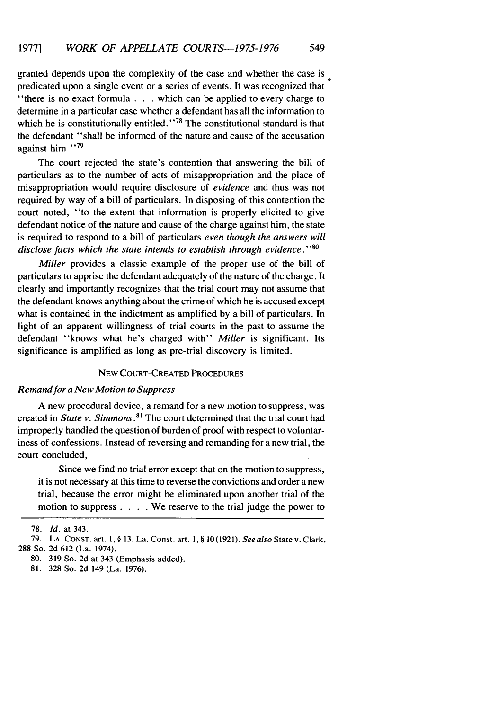granted depends upon the complexity of the case and whether the case is predicated upon a single event or a series of events. It was recognized that "there is no exact formula . . . which can be applied to every charge to

determine in a particular case whether a defendant has all the information to which he is constitutionally entitled."<sup>78</sup> The constitutional standard is that the defendant "shall be informed of the nature and cause of the accusation against him.' **' 79**

The court rejected the state's contention that answering the bill of particulars as to the number of acts of misappropriation and the place of misappropriation would require disclosure of *evidence* and thus was not required by way of a bill of particulars. In disposing of this contention the court noted, "to the extent that information is properly elicited to give defendant notice of the nature and cause of the charge against him, the state is required to respond to a bill of particulars *even though the answers will* disclose facts which the state intends to establish through evidence. *"80*

Miller provides a classic example of the proper use of the bill of particulars to apprise the defendant adequately of the nature of the charge. It clearly and importantly recognizes that the trial court may not assume that the defendant knows anything about the crime of which he is accused except what is contained in the indictment as amplified by a bill of particulars. In light of an apparent willingness of trial courts in the past to assume the defendant "knows what he's charged with" *Miller* is significant. Its significance is amplified as long as pre-trial discovery is limited.

# **NEW** COURT-CREATED PROCEDURES

### Remand for a New Motion to Suppress

A new procedural device, a remand for a new motion to suppress, was created in *State v. Simmons .81* The court determined that the trial court had improperly handled the question of burden of proof with respect to voluntariness of confessions. Instead of reversing and remanding for a new trial, the court concluded,

Since we find no trial error except that on the motion to suppress, it is not necessary at this time to reverse the convictions and order a new trial, because the error might be eliminated upon another trial of the motion to suppress . **. .** . We reserve to the trial judge the power to

<sup>78.</sup> *Id.* at 343.

<sup>79.</sup> LA. CONST. art. 1, § 13. La. Const. art. 1, § 10(1921). Seealso State v. Clark, 288 So. 2d 612 (La. 1974).

<sup>80. 319</sup> So. 2d at 343 (Emphasis added).

<sup>81. 328</sup> So. 2d 149 (La. 1976).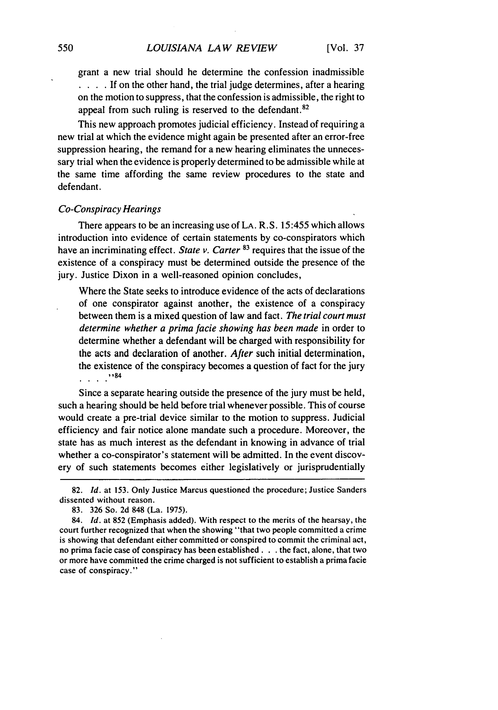grant a new trial should he determine the confession inadmissible **. . .** . If on the other hand, the trial judge determines, after a hearing on the motion to suppress, that the confession is admissible, the right to appeal from such ruling is reserved to the defendant.<sup>82</sup>

This new approach promotes judicial efficiency. Instead of requiring a new trial at which the evidence might again be presented after an error-free suppression hearing, the remand for a new hearing eliminates the unnecessary trial when the evidence is properly determined to be admissible while at the same time affording the same review procedures to the state and defendant.

#### *Co-Conspiracy Hearings*

There appears to be an increasing use of LA. R.S. 15:455 which allows introduction into evidence of certain statements by co-conspirators which have an incriminating effect. *State v. Carter* **83** requires that the issue of the existence of a conspiracy must be determined outside the presence of the jury. Justice Dixon in a well-reasoned opinion concludes,

Where the State seeks to introduce evidence of the acts of declarations of one conspirator against another, the existence of a conspiracy between them is a mixed question of law and fact. *The trial court must determine whether a prima facie showing has been made* in order to determine whether a defendant will be charged with responsibility for the acts and declaration of another. *After* such initial determination, the existence of the conspiracy becomes a question of fact for the jury **'84**

Since a separate hearing outside the presence of the jury must be held, such a hearing should be held before trial whenever possible. This of course would create a pre-trial device similar to the motion to suppress. Judicial efficiency and fair notice alone mandate such a procedure. Moreover, the state has as much interest as the defendant in knowing in advance of trial whether a co-conspirator's statement will be admitted. In the event discovery of such statements becomes either legislatively or jurisprudentially

84. *Id.* at 852 (Emphasis added). With respect to the merits of the hearsay, the court further recognized that when the showing "that two people committed a crime is showing that defendant either committed or conspired to commit the criminal act, no prima facie case of conspiracy has been established. **. .** the fact, alone, that two or more have committed the crime charged is not sufficient to establish a prima facie case of conspiracy."

<sup>82.</sup> *Id.* at 153. Only Justice Marcus questioned the procedure; Justice Sanders dissented without reason.

<sup>83. 326</sup> So. 2d 848 (La. 1975).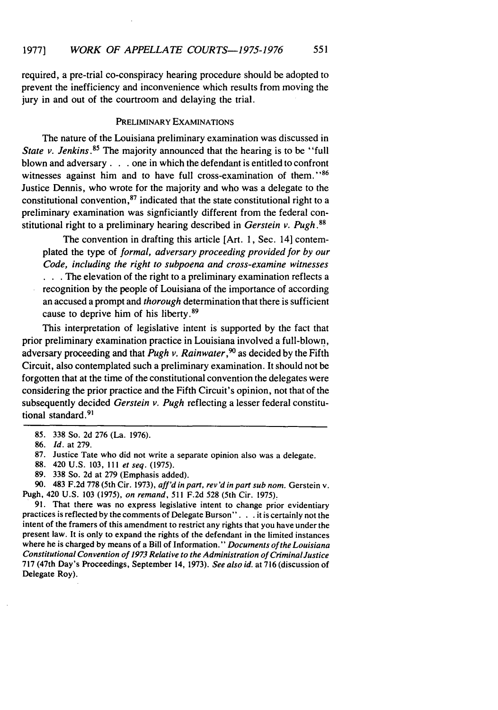required, a pre-trial co-conspiracy hearing procedure should be adopted to prevent the inefficiency and inconvenience which results from moving the jury in and out of the courtroom and delaying the trial.

# PRELIMINARY EXAMINATIONS

The nature of the Louisiana preliminary examination was discussed in *State v. Jenkins.*<sup>85</sup> The majority announced that the hearing is to be "full blown and adversary. **. .** one in which the defendant is entitled to confront witnesses against him and to have full cross-examination of them.<sup>186</sup> Justice Dennis, who wrote for the majority and who was a delegate to the constitutional convention, $87$  indicated that the state constitutional right to a preliminary examination was signficiantly different from the federal constitutional right to a preliminary hearing described in *Gerstein v. Pugh.8*

The convention in drafting this article [Art. 1, Sec. 14] contemplated the type of *formal, adversary proceeding provided for by our* Code, *including the right to subpoena* and cross-examine *witnesses* **. . .**The elevation of the right to a preliminary examination reflects a recognition by the people of Louisiana of the importance of according an accused a prompt and *thorough* determination that there is sufficient cause to deprive him of his liberty. <sup>89</sup>

This interpretation of legislative intent is supported by the fact that prior preliminary examination practice in Louisiana involved a full-blown, adversary proceeding and that *Pugh v. Rainwater,9°* as decided by the Fifth Circuit, also contemplated such a preliminary examination. It should not be forgotten that at the time of the constitutional convention the delegates were considering the prior practice and the Fifth Circuit's opinion, not that of the subsequently decided *Gerstein v. Pugh* reflecting a lesser federal constitutional standard.<sup>91</sup>

90. 483 F.2d 778 (5th Cir. 1973), aff'd in part, rev'd in part sub nom. Gerstein v. Pugh, 420 U.S. 103 (1975), on remand, 511 F.2d 528 (5th Cir. 1975)

91. That there was no express legislative intent to change prior evidentiary practices is reflected by the comments of Delegate Burson". .. it is certainly not the intent of the framers of this amendment to restrict any rights that you have under the present law. It is only to expand the rights of the defendant in the limited instances where he is charged by means of a Bill of Information." *Documents of* the Louisiana Constitutional Convention of 1973 Relative to the Administration of CriminalJustice 717 (47th Day's Proceedings, September 14, 1973). *See also id.* at 716 (discussion of Delegate Roy).

<sup>85. 338</sup> So. 2d 276 (La. 1976).

<sup>86.</sup> *Id.* at 279.

<sup>87.</sup> Justice Tate who did not write a separate opinion also was a delegate.

<sup>88. 420</sup> U.S. 103, **111** et seq. (1975).

<sup>89. 338</sup> So. 2d at 279 (Emphasis added).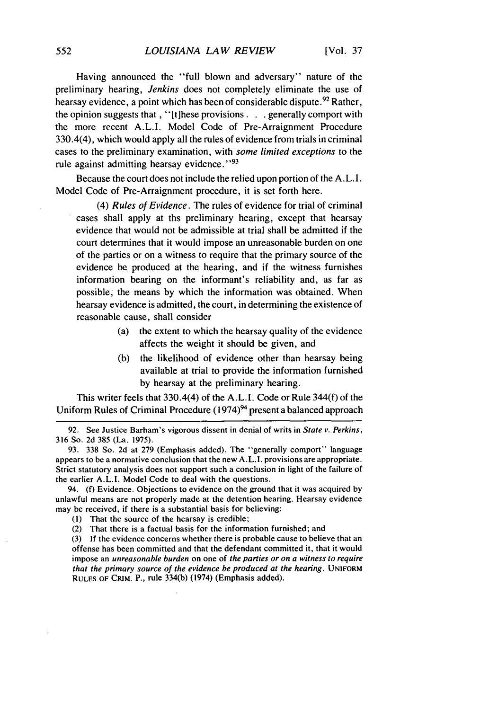Having announced the "full blown and adversary" nature of the preliminary hearing, *Jenkins* does not completely eliminate the use of hearsay evidence, a point which has been of considerable dispute.<sup>92</sup> Rather, the opinion suggests that , "[t]hese provisions **...** generally comport with the more recent A.L.I. Model Code of Pre-Arraignment Procedure 330.4(4), which would apply all the rules of evidence from trials in criminal cases to the preliminary examination, with *some limited exceptions* to the rule against admitting hearsay evidence."<sup>93</sup>

Because the court does not include the relied upon portion of the A.L.I. Model Code of Pre-Arraignment procedure, it is set forth here.

(4) *Rules of Evidence.* The rules of evidence for trial of criminal cases shall apply at ths preliminary hearing, except that hearsay evidence that would not be admissible at trial shall be admitted if the court determines that it would impose an unreasonable burden on one of the parties or on a witness to require that the primary source of the evidence be produced at the hearing, and if the witness furnishes information bearing on the informant's reliability and, as far as possible, the means by which the information was obtained. When hearsay evidence is admitted, the court, in determining the existence of reasonable cause, shall consider

- (a) the extent to which the hearsay quality of the evidence affects the weight it should be given, and
- (b) the likelihood of evidence other than hearsay being available at trial to provide the information furnished by hearsay at the preliminary hearing.

This writer feels that 330.4(4) of the A.L.I. Code or Rule 344(f) of the Uniform Rules of Criminal Procedure (1974)<sup>94</sup> present a balanced approach

94. (f) Evidence. Objections to evidence on the ground that it was acquired by unlawful means are not properly made at the detention hearing. Hearsay evidence may be received, if there is a substantial basis for believing:

(2) That there is a factual basis for the information furnished; and

(3) If the evidence concerns whether there is probable cause to believe that an offense has been committed and that the defendant committed it, that it would impose an *unreasonable burden* on one of *the parties or on a witness to require that the primary source of the evidence be produced at the hearing.* UNIFORM RULES OF CRIM. P., rule 334(b) (1974) (Emphasis added).

<sup>92.</sup> See Justice Barham's vigorous dissent in denial of writs in *State* v. *Perkins,* 316 So. 2d 385 (La. 1975).

<sup>93. 338</sup> So. 2d at 279 (Emphasis added). The "generally comport" language appears to be a normative conclusion that the new A.L.I. provisions are appropriate. Strict statutory analysis does not support such a conclusion in light of the failure of the earlier A.L.I. Model Code to deal with the questions.

<sup>(</sup>I) That the source of the hearsay is credible;